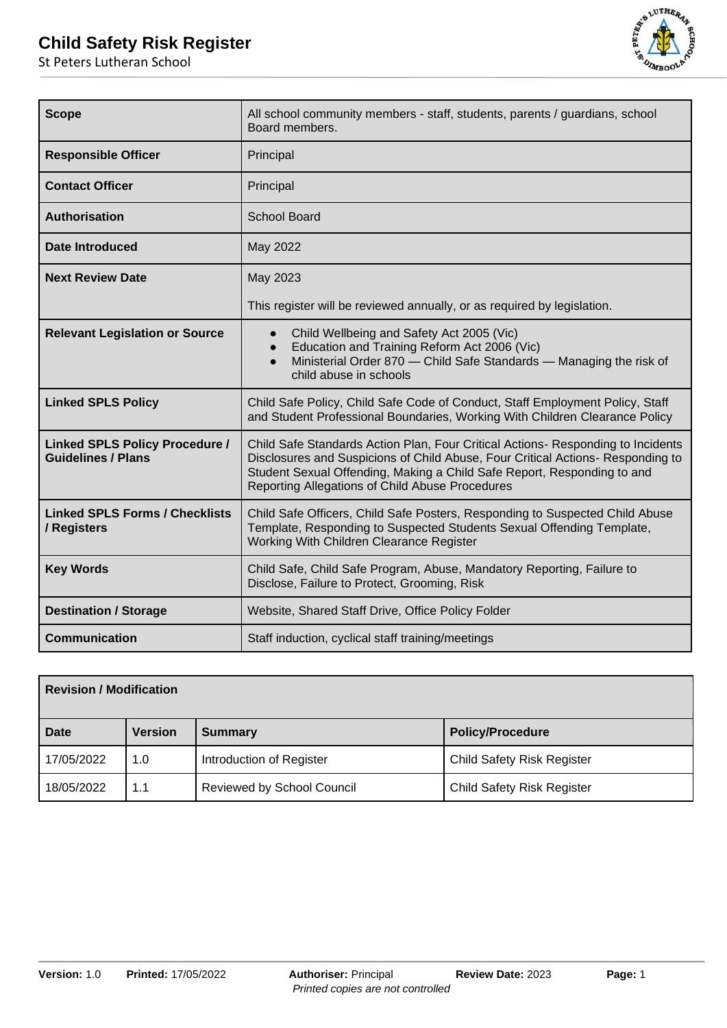

| <b>Scope</b>                                                       | All school community members - staff, students, parents / guardians, school<br>Board members.                                                                                                                                                                                                     |  |  |  |
|--------------------------------------------------------------------|---------------------------------------------------------------------------------------------------------------------------------------------------------------------------------------------------------------------------------------------------------------------------------------------------|--|--|--|
| <b>Responsible Officer</b>                                         | Principal                                                                                                                                                                                                                                                                                         |  |  |  |
| <b>Contact Officer</b>                                             | Principal                                                                                                                                                                                                                                                                                         |  |  |  |
| <b>Authorisation</b>                                               | <b>School Board</b>                                                                                                                                                                                                                                                                               |  |  |  |
| Date Introduced                                                    | May 2022                                                                                                                                                                                                                                                                                          |  |  |  |
| <b>Next Review Date</b>                                            | May 2023                                                                                                                                                                                                                                                                                          |  |  |  |
|                                                                    | This register will be reviewed annually, or as required by legislation.                                                                                                                                                                                                                           |  |  |  |
| <b>Relevant Legislation or Source</b>                              | Child Wellbeing and Safety Act 2005 (Vic)<br>$\bullet$<br>Education and Training Reform Act 2006 (Vic)<br>$\bullet$<br>Ministerial Order 870 - Child Safe Standards - Managing the risk of<br>$\bullet$<br>child abuse in schools                                                                 |  |  |  |
| <b>Linked SPLS Policy</b>                                          | Child Safe Policy, Child Safe Code of Conduct, Staff Employment Policy, Staff<br>and Student Professional Boundaries, Working With Children Clearance Policy                                                                                                                                      |  |  |  |
| <b>Linked SPLS Policy Procedure /</b><br><b>Guidelines / Plans</b> | Child Safe Standards Action Plan, Four Critical Actions- Responding to Incidents<br>Disclosures and Suspicions of Child Abuse, Four Critical Actions- Responding to<br>Student Sexual Offending, Making a Child Safe Report, Responding to and<br>Reporting Allegations of Child Abuse Procedures |  |  |  |
| <b>Linked SPLS Forms / Checklists</b><br>/ Registers               | Child Safe Officers, Child Safe Posters, Responding to Suspected Child Abuse<br>Template, Responding to Suspected Students Sexual Offending Template,<br>Working With Children Clearance Register                                                                                                 |  |  |  |
| <b>Key Words</b>                                                   | Child Safe, Child Safe Program, Abuse, Mandatory Reporting, Failure to<br>Disclose, Failure to Protect, Grooming, Risk                                                                                                                                                                            |  |  |  |
| <b>Destination / Storage</b>                                       | Website, Shared Staff Drive, Office Policy Folder                                                                                                                                                                                                                                                 |  |  |  |
| <b>Communication</b>                                               | Staff induction, cyclical staff training/meetings                                                                                                                                                                                                                                                 |  |  |  |

| <b>Revision / Modification</b> |                |                                   |                                   |  |  |  |
|--------------------------------|----------------|-----------------------------------|-----------------------------------|--|--|--|
| <b>Date</b>                    | <b>Version</b> | <b>Summary</b>                    | <b>Policy/Procedure</b>           |  |  |  |
| 17/05/2022                     | 1.0            | Introduction of Register          | <b>Child Safety Risk Register</b> |  |  |  |
| 18/05/2022                     | 1.1            | <b>Reviewed by School Council</b> | <b>Child Safety Risk Register</b> |  |  |  |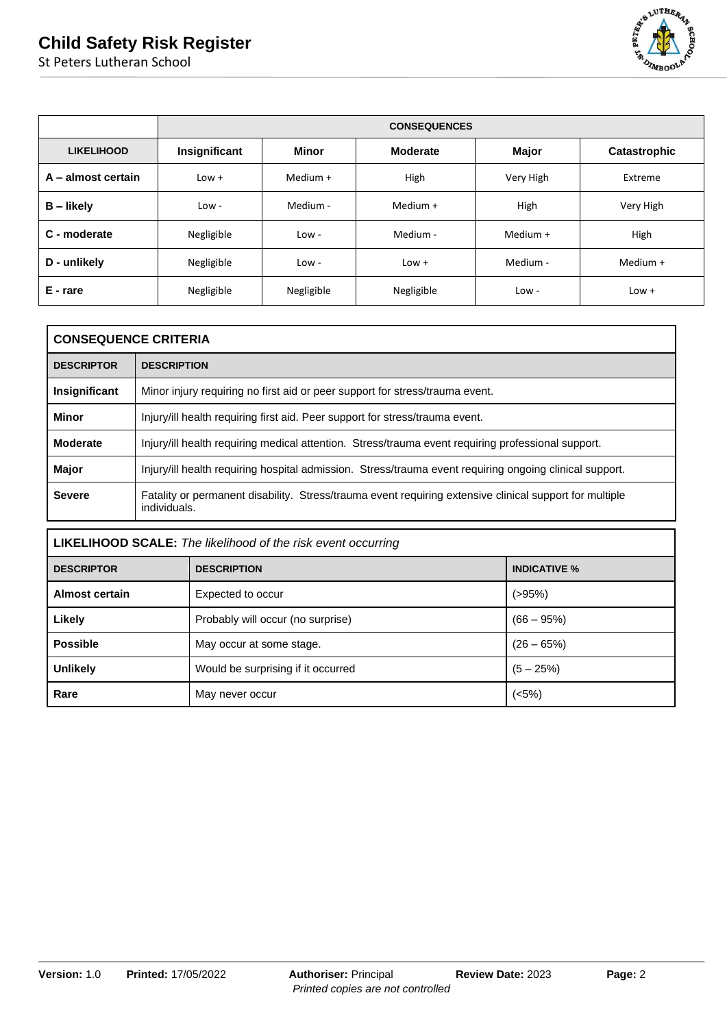

|                    |               | <b>CONSEQUENCES</b> |                 |              |              |  |  |  |  |
|--------------------|---------------|---------------------|-----------------|--------------|--------------|--|--|--|--|
| <b>LIKELIHOOD</b>  | Insignificant | Minor               | <b>Moderate</b> | <b>Major</b> | Catastrophic |  |  |  |  |
| A - almost certain | $Low +$       | Medium +            | High            | Very High    | Extreme      |  |  |  |  |
| $B -$ likely       | Low -         | Medium -            | Medium +        | High         | Very High    |  |  |  |  |
| C - moderate       | Negligible    | $Low -$             | Medium -        | Medium +     | High         |  |  |  |  |
| D - unlikely       | Negligible    | $Low -$             | $Low +$         | Medium -     | Medium +     |  |  |  |  |
| E - rare           | Negligible    | Negligible          | Negligible      | $Low -$      | $Low +$      |  |  |  |  |

|                   | <b>CONSEQUENCE CRITERIA</b>                                                                                             |  |  |  |  |  |
|-------------------|-------------------------------------------------------------------------------------------------------------------------|--|--|--|--|--|
| <b>DESCRIPTOR</b> | <b>DESCRIPTION</b>                                                                                                      |  |  |  |  |  |
| Insignificant     | Minor injury requiring no first aid or peer support for stress/trauma event.                                            |  |  |  |  |  |
| Minor             | Injury/ill health requiring first aid. Peer support for stress/trauma event.                                            |  |  |  |  |  |
| <b>Moderate</b>   | Injury/ill health requiring medical attention. Stress/trauma event requiring professional support.                      |  |  |  |  |  |
| <b>Major</b>      | Injury/ill health requiring hospital admission. Stress/trauma event requiring ongoing clinical support.                 |  |  |  |  |  |
| <b>Severe</b>     | Fatality or permanent disability. Stress/trauma event requiring extensive clinical support for multiple<br>individuals. |  |  |  |  |  |

| <b>LIKELIHOOD SCALE:</b> The likelihood of the risk event occurring |                                    |              |  |  |  |  |
|---------------------------------------------------------------------|------------------------------------|--------------|--|--|--|--|
| <b>DESCRIPTOR</b>                                                   | <b>INDICATIVE %</b>                |              |  |  |  |  |
| <b>Almost certain</b>                                               | Expected to occur                  | $( > 95\%)$  |  |  |  |  |
| Likely                                                              | Probably will occur (no surprise)  | $(66 - 95%)$ |  |  |  |  |
| <b>Possible</b>                                                     | May occur at some stage.           | $(26 - 65%)$ |  |  |  |  |
| <b>Unlikely</b>                                                     | Would be surprising if it occurred | $(5 - 25%)$  |  |  |  |  |
| Rare                                                                | May never occur                    | (<5%)        |  |  |  |  |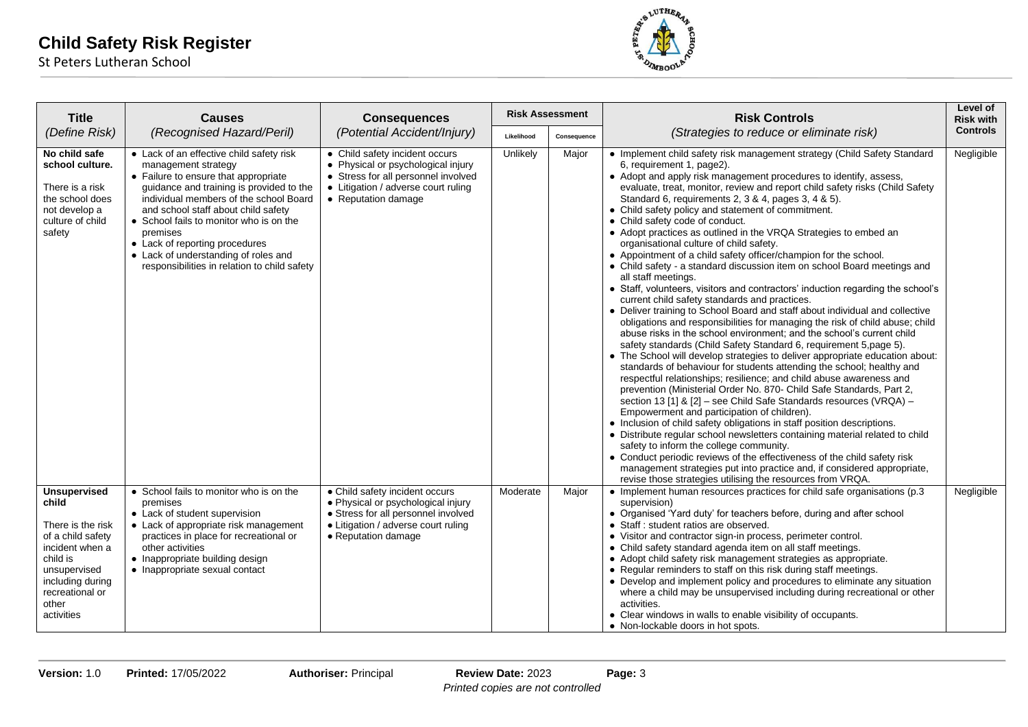

| <b>Title</b>                                                                                                                                                                        | <b>Causes</b>                                                                                                                                                                                                                                                                                                                                                                                                         | <b>Consequences</b>                                                                                                                                                       |            | <b>Risk Assessment</b> | <b>Risk Controls</b>                                                                                                                                                                                                                                                                                                                                                                                                                                                                                                                                                                                                                                                                                                                                                                                                                                                                                                                                                                                                                                                                                                                                                                                                                                                                                                                                                                                                                                                                                                                                                                                                                                                                                                                                                                                                                                                                                                                                                                                        | Level of<br><b>Risk with</b> |
|-------------------------------------------------------------------------------------------------------------------------------------------------------------------------------------|-----------------------------------------------------------------------------------------------------------------------------------------------------------------------------------------------------------------------------------------------------------------------------------------------------------------------------------------------------------------------------------------------------------------------|---------------------------------------------------------------------------------------------------------------------------------------------------------------------------|------------|------------------------|-------------------------------------------------------------------------------------------------------------------------------------------------------------------------------------------------------------------------------------------------------------------------------------------------------------------------------------------------------------------------------------------------------------------------------------------------------------------------------------------------------------------------------------------------------------------------------------------------------------------------------------------------------------------------------------------------------------------------------------------------------------------------------------------------------------------------------------------------------------------------------------------------------------------------------------------------------------------------------------------------------------------------------------------------------------------------------------------------------------------------------------------------------------------------------------------------------------------------------------------------------------------------------------------------------------------------------------------------------------------------------------------------------------------------------------------------------------------------------------------------------------------------------------------------------------------------------------------------------------------------------------------------------------------------------------------------------------------------------------------------------------------------------------------------------------------------------------------------------------------------------------------------------------------------------------------------------------------------------------------------------------|------------------------------|
| (Define Risk)                                                                                                                                                                       | (Recognised Hazard/Peril)                                                                                                                                                                                                                                                                                                                                                                                             | (Potential Accident/Injury)                                                                                                                                               | Likelihood | Consequence            | (Strategies to reduce or eliminate risk)                                                                                                                                                                                                                                                                                                                                                                                                                                                                                                                                                                                                                                                                                                                                                                                                                                                                                                                                                                                                                                                                                                                                                                                                                                                                                                                                                                                                                                                                                                                                                                                                                                                                                                                                                                                                                                                                                                                                                                    | <b>Controls</b>              |
| No child safe<br>school culture.<br>There is a risk<br>the school does<br>not develop a<br>culture of child<br>safety                                                               | • Lack of an effective child safety risk<br>management strategy<br>• Failure to ensure that appropriate<br>guidance and training is provided to the<br>individual members of the school Board<br>and school staff about child safety<br>• School fails to monitor who is on the<br>premises<br>• Lack of reporting procedures<br>• Lack of understanding of roles and<br>responsibilities in relation to child safety | • Child safety incident occurs<br>• Physical or psychological injury<br>• Stress for all personnel involved<br>• Litigation / adverse court ruling<br>• Reputation damage | Unlikely   | Major                  | • Implement child safety risk management strategy (Child Safety Standard<br>6, requirement 1, page2).<br>• Adopt and apply risk management procedures to identify, assess,<br>evaluate, treat, monitor, review and report child safety risks (Child Safety<br>Standard 6, requirements 2, 3 & 4, pages 3, 4 & 5).<br>• Child safety policy and statement of commitment.<br>• Child safety code of conduct.<br>• Adopt practices as outlined in the VRQA Strategies to embed an<br>organisational culture of child safety.<br>• Appointment of a child safety officer/champion for the school.<br>• Child safety - a standard discussion item on school Board meetings and<br>all staff meetings.<br>• Staff, volunteers, visitors and contractors' induction regarding the school's<br>current child safety standards and practices.<br>• Deliver training to School Board and staff about individual and collective<br>obligations and responsibilities for managing the risk of child abuse; child<br>abuse risks in the school environment; and the school's current child<br>safety standards (Child Safety Standard 6, requirement 5, page 5).<br>• The School will develop strategies to deliver appropriate education about:<br>standards of behaviour for students attending the school; healthy and<br>respectful relationships; resilience; and child abuse awareness and<br>prevention (Ministerial Order No. 870- Child Safe Standards, Part 2,<br>section 13 [1] & [2] - see Child Safe Standards resources (VRQA) -<br>Empowerment and participation of children).<br>• Inclusion of child safety obligations in staff position descriptions.<br>• Distribute regular school newsletters containing material related to child<br>safety to inform the college community.<br>• Conduct periodic reviews of the effectiveness of the child safety risk<br>management strategies put into practice and, if considered appropriate,<br>revise those strategies utilising the resources from VRQA. | Negligible                   |
| <b>Unsupervised</b><br>child<br>There is the risk<br>of a child safety<br>incident when a<br>child is<br>unsupervised<br>including during<br>recreational or<br>other<br>activities | • School fails to monitor who is on the<br>premises<br>• Lack of student supervision<br>• Lack of appropriate risk management<br>practices in place for recreational or<br>other activities<br>• Inappropriate building design<br>• Inappropriate sexual contact                                                                                                                                                      | • Child safety incident occurs<br>• Physical or psychological injury<br>• Stress for all personnel involved<br>• Litigation / adverse court ruling<br>• Reputation damage | Moderate   | Major                  | $\bullet$ Implement human resources practices for child safe organisations (p.3)<br>supervision)<br>• Organised 'Yard duty' for teachers before, during and after school<br>• Staff : student ratios are observed.<br>• Visitor and contractor sign-in process, perimeter control.<br>• Child safety standard agenda item on all staff meetings.<br>• Adopt child safety risk management strategies as appropriate.<br>• Regular reminders to staff on this risk during staff meetings.<br>• Develop and implement policy and procedures to eliminate any situation<br>where a child may be unsupervised including during recreational or other<br>activities.<br>• Clear windows in walls to enable visibility of occupants.<br>• Non-lockable doors in hot spots.                                                                                                                                                                                                                                                                                                                                                                                                                                                                                                                                                                                                                                                                                                                                                                                                                                                                                                                                                                                                                                                                                                                                                                                                                                         | Negligible                   |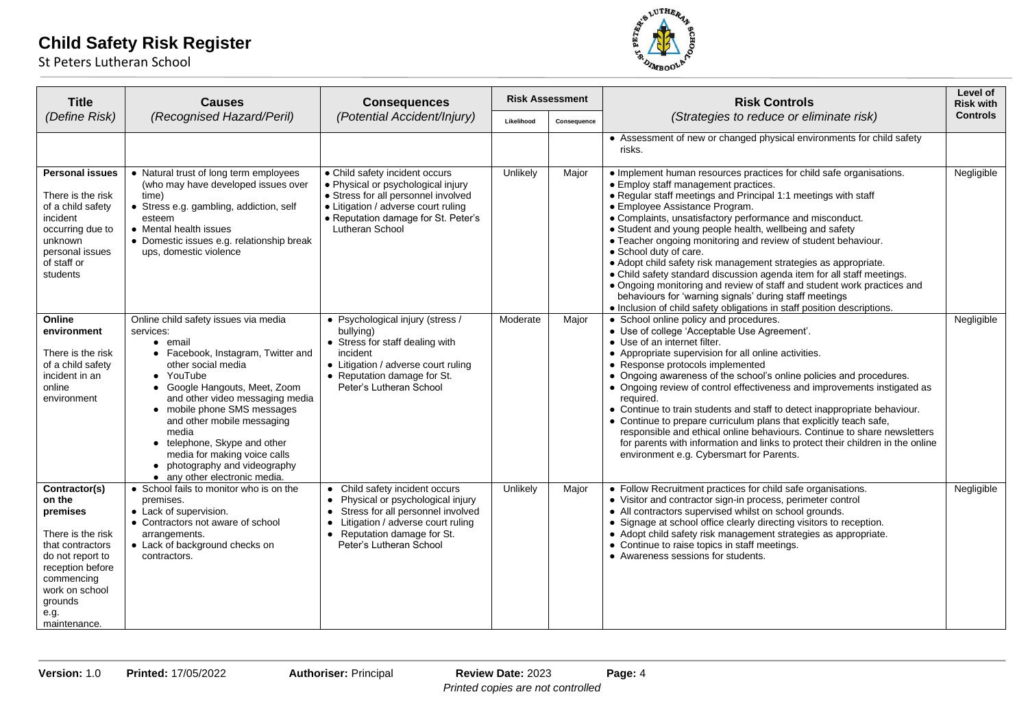

| <b>Title</b>                                                                                                                                                                            | <b>Causes</b>                                                                                                                                                                                                                                                                                                                                                                                                     | <b>Consequences</b>                                                                                                                                                                                                     | <b>Risk Assessment</b> |             | <b>Risk Controls</b>                                                                                                                                                                                                                                                                                                                                                                                                                                                                                                                                                                                                                                                                                                                                                                           | Level of<br><b>Risk with</b> |
|-----------------------------------------------------------------------------------------------------------------------------------------------------------------------------------------|-------------------------------------------------------------------------------------------------------------------------------------------------------------------------------------------------------------------------------------------------------------------------------------------------------------------------------------------------------------------------------------------------------------------|-------------------------------------------------------------------------------------------------------------------------------------------------------------------------------------------------------------------------|------------------------|-------------|------------------------------------------------------------------------------------------------------------------------------------------------------------------------------------------------------------------------------------------------------------------------------------------------------------------------------------------------------------------------------------------------------------------------------------------------------------------------------------------------------------------------------------------------------------------------------------------------------------------------------------------------------------------------------------------------------------------------------------------------------------------------------------------------|------------------------------|
| (Define Risk)                                                                                                                                                                           | (Recognised Hazard/Peril)                                                                                                                                                                                                                                                                                                                                                                                         | (Potential Accident/Injury)                                                                                                                                                                                             | Likelihood             | Consequence | (Strategies to reduce or eliminate risk)                                                                                                                                                                                                                                                                                                                                                                                                                                                                                                                                                                                                                                                                                                                                                       | <b>Controls</b>              |
|                                                                                                                                                                                         |                                                                                                                                                                                                                                                                                                                                                                                                                   |                                                                                                                                                                                                                         |                        |             | • Assessment of new or changed physical environments for child safety<br>risks.                                                                                                                                                                                                                                                                                                                                                                                                                                                                                                                                                                                                                                                                                                                |                              |
| <b>Personal issues</b><br>There is the risk<br>of a child safety<br>incident<br>occurring due to<br>unknown<br>personal issues<br>of staff or<br>students                               | • Natural trust of long term employees<br>(who may have developed issues over<br>time)<br>• Stress e.g. gambling, addiction, self<br>esteem<br>• Mental health issues<br>• Domestic issues e.g. relationship break<br>ups, domestic violence                                                                                                                                                                      | • Child safety incident occurs<br>• Physical or psychological injury<br>• Stress for all personnel involved<br>• Litigation / adverse court ruling<br>• Reputation damage for St. Peter's<br>Lutheran School            | Unlikely               | Maior       | • Implement human resources practices for child safe organisations.<br>• Employ staff management practices.<br>. Regular staff meetings and Principal 1:1 meetings with staff<br>• Employee Assistance Program.<br>• Complaints, unsatisfactory performance and misconduct.<br>• Student and young people health, wellbeing and safety<br>• Teacher ongoing monitoring and review of student behaviour.<br>• School duty of care.<br>• Adopt child safety risk management strategies as appropriate.<br>• Child safety standard discussion agenda item for all staff meetings.<br>• Ongoing monitoring and review of staff and student work practices and<br>behaviours for 'warning signals' during staff meetings<br>• Inclusion of child safety obligations in staff position descriptions. | Negligible                   |
| Online<br>environment<br>There is the risk<br>of a child safety<br>incident in an<br>online<br>environment                                                                              | Online child safety issues via media<br>services:<br>• email<br>• Facebook, Instagram, Twitter and<br>other social media<br>• YouTube<br>• Google Hangouts, Meet, Zoom<br>and other video messaging media<br>• mobile phone SMS messages<br>and other mobile messaging<br>media<br>• telephone, Skype and other<br>media for making voice calls<br>• photography and videography<br>• any other electronic media. | • Psychological injury (stress /<br>bullying)<br>• Stress for staff dealing with<br>incident<br>• Litigation / adverse court ruling<br>• Reputation damage for St.<br>Peter's Lutheran School                           | Moderate               | Major       | • School online policy and procedures.<br>• Use of college 'Acceptable Use Agreement'.<br>• Use of an internet filter.<br>• Appropriate supervision for all online activities.<br>• Response protocols implemented<br>• Ongoing awareness of the school's online policies and procedures.<br>• Ongoing review of control effectiveness and improvements instigated as<br>required.<br>• Continue to train students and staff to detect inappropriate behaviour.<br>• Continue to prepare curriculum plans that explicitly teach safe,<br>responsible and ethical online behaviours. Continue to share newsletters<br>for parents with information and links to protect their children in the online<br>environment e.g. Cybersmart for Parents.                                                | Negligible                   |
| Contractor(s)<br>on the<br>premises<br>There is the risk<br>that contractors<br>do not report to<br>reception before<br>commencing<br>work on school<br>grounds<br>e.g.<br>maintenance. | • School fails to monitor who is on the<br>premises.<br>• Lack of supervision.<br>• Contractors not aware of school<br>arrangements.<br>• Lack of background checks on<br>contractors.                                                                                                                                                                                                                            | • Child safety incident occurs<br>• Physical or psychological injury<br>Stress for all personnel involved<br>$\bullet$<br>• Litigation / adverse court ruling<br>• Reputation damage for St.<br>Peter's Lutheran School | Unlikely               | Major       | • Follow Recruitment practices for child safe organisations.<br>• Visitor and contractor sign-in process, perimeter control<br>• All contractors supervised whilst on school grounds.<br>• Signage at school office clearly directing visitors to reception.<br>• Adopt child safety risk management strategies as appropriate.<br>• Continue to raise topics in staff meetings.<br>• Awareness sessions for students.                                                                                                                                                                                                                                                                                                                                                                         | Negligible                   |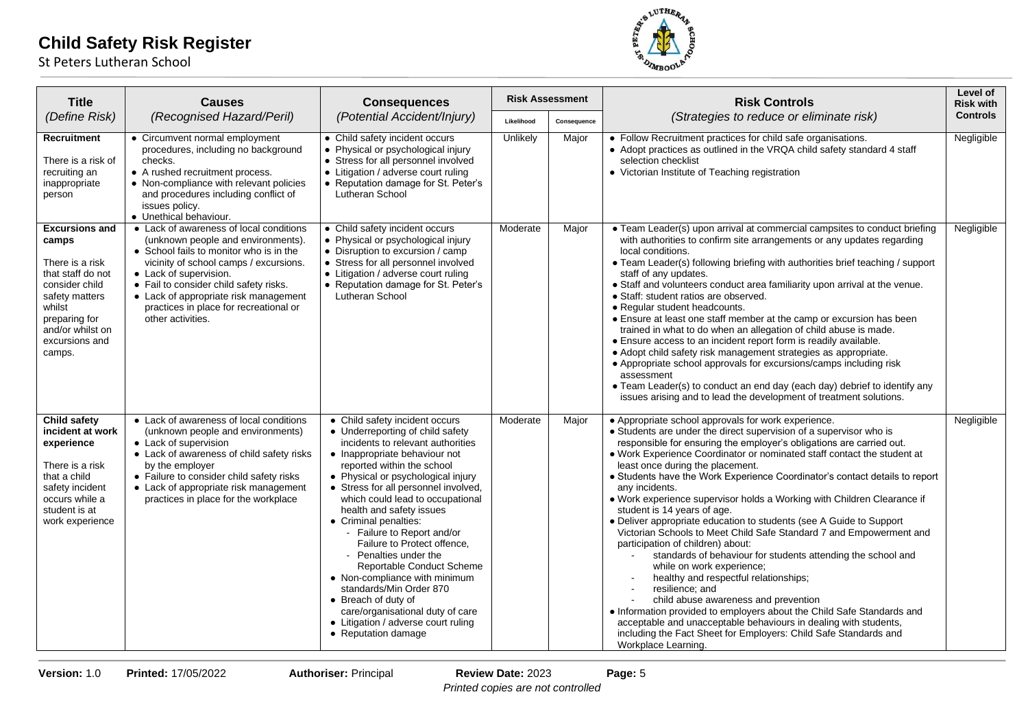

| <b>Title</b>                                                                                                                                                                          | <b>Causes</b>                                                                                                                                                                                                                                                                                                                                  | <b>Consequences</b>                                                                                                                                                                                                                                                                                                                                                                                                                                                                                                                                                                                                                                   | <b>Risk Assessment</b> |             |                                                                                                                                                                                                                                                                                                                                                                                                                                                                                                                                                                                                                                                                                                                                                                                                                                                                                                                                                                                                                                                                                                                                                          |                 | <b>Risk Controls</b> | Level of<br><b>Risk with</b> |
|---------------------------------------------------------------------------------------------------------------------------------------------------------------------------------------|------------------------------------------------------------------------------------------------------------------------------------------------------------------------------------------------------------------------------------------------------------------------------------------------------------------------------------------------|-------------------------------------------------------------------------------------------------------------------------------------------------------------------------------------------------------------------------------------------------------------------------------------------------------------------------------------------------------------------------------------------------------------------------------------------------------------------------------------------------------------------------------------------------------------------------------------------------------------------------------------------------------|------------------------|-------------|----------------------------------------------------------------------------------------------------------------------------------------------------------------------------------------------------------------------------------------------------------------------------------------------------------------------------------------------------------------------------------------------------------------------------------------------------------------------------------------------------------------------------------------------------------------------------------------------------------------------------------------------------------------------------------------------------------------------------------------------------------------------------------------------------------------------------------------------------------------------------------------------------------------------------------------------------------------------------------------------------------------------------------------------------------------------------------------------------------------------------------------------------------|-----------------|----------------------|------------------------------|
| (Define Risk)                                                                                                                                                                         | (Recognised Hazard/Peril)                                                                                                                                                                                                                                                                                                                      | (Potential Accident/Injury)                                                                                                                                                                                                                                                                                                                                                                                                                                                                                                                                                                                                                           | Likelihood             | Consequence | (Strategies to reduce or eliminate risk)                                                                                                                                                                                                                                                                                                                                                                                                                                                                                                                                                                                                                                                                                                                                                                                                                                                                                                                                                                                                                                                                                                                 | <b>Controls</b> |                      |                              |
| Recruitment<br>There is a risk of<br>recruiting an<br>inappropriate<br>person                                                                                                         | • Circumvent normal employment<br>procedures, including no background<br>checks.<br>• A rushed recruitment process.<br>• Non-compliance with relevant policies<br>and procedures including conflict of<br>issues policy.<br>• Unethical behaviour.                                                                                             | • Child safety incident occurs<br>• Physical or psychological injury<br>• Stress for all personnel involved<br>• Litigation / adverse court ruling<br>• Reputation damage for St. Peter's<br>Lutheran School                                                                                                                                                                                                                                                                                                                                                                                                                                          | Unlikely               | Major       | • Follow Recruitment practices for child safe organisations.<br>• Adopt practices as outlined in the VRQA child safety standard 4 staff<br>selection checklist<br>• Victorian Institute of Teaching registration                                                                                                                                                                                                                                                                                                                                                                                                                                                                                                                                                                                                                                                                                                                                                                                                                                                                                                                                         | Negligible      |                      |                              |
| <b>Excursions and</b><br>camps<br>There is a risk<br>that staff do not<br>consider child<br>safety matters<br>whilst<br>preparing for<br>and/or whilst on<br>excursions and<br>camps. | • Lack of awareness of local conditions<br>(unknown people and environments).<br>• School fails to monitor who is in the<br>vicinity of school camps / excursions.<br>• Lack of supervision.<br>• Fail to consider child safety risks.<br>• Lack of appropriate risk management<br>practices in place for recreational or<br>other activities. | • Child safety incident occurs<br>• Physical or psychological injury<br>• Disruption to excursion / camp<br>• Stress for all personnel involved<br>• Litigation / adverse court ruling<br>• Reputation damage for St. Peter's<br>Lutheran School                                                                                                                                                                                                                                                                                                                                                                                                      | Moderate               | Major       | • Team Leader(s) upon arrival at commercial campsites to conduct briefing<br>with authorities to confirm site arrangements or any updates regarding<br>local conditions.<br>• Team Leader(s) following briefing with authorities brief teaching / support<br>staff of any updates.<br>• Staff and volunteers conduct area familiarity upon arrival at the venue.<br>• Staff: student ratios are observed.<br>• Regular student headcounts.<br>• Ensure at least one staff member at the camp or excursion has been<br>trained in what to do when an allegation of child abuse is made.<br>• Ensure access to an incident report form is readily available.<br>• Adopt child safety risk management strategies as appropriate.<br>• Appropriate school approvals for excursions/camps including risk<br>assessment<br>• Team Leader(s) to conduct an end day (each day) debrief to identify any<br>issues arising and to lead the development of treatment solutions.                                                                                                                                                                                     | Negligible      |                      |                              |
| Child safety<br>incident at work<br>experience<br>There is a risk<br>that a child<br>safety incident<br>occurs while a<br>student is at<br>work experience                            | • Lack of awareness of local conditions<br>(unknown people and environments)<br>• Lack of supervision<br>• Lack of awareness of child safety risks<br>by the employer<br>• Failure to consider child safety risks<br>• Lack of appropriate risk management<br>practices in place for the workplace                                             | • Child safety incident occurs<br>• Underreporting of child safety<br>incidents to relevant authorities<br>• Inappropriate behaviour not<br>reported within the school<br>• Physical or psychological injury<br>• Stress for all personnel involved,<br>which could lead to occupational<br>health and safety issues<br>• Criminal penalties:<br>- Failure to Report and/or<br>Failure to Protect offence,<br>- Penalties under the<br>Reportable Conduct Scheme<br>• Non-compliance with minimum<br>standards/Min Order 870<br>• Breach of duty of<br>care/organisational duty of care<br>• Litigation / adverse court ruling<br>• Reputation damage | Moderate               | Major       | • Appropriate school approvals for work experience.<br>• Students are under the direct supervision of a supervisor who is<br>responsible for ensuring the employer's obligations are carried out.<br>. Work Experience Coordinator or nominated staff contact the student at<br>least once during the placement.<br>• Students have the Work Experience Coordinator's contact details to report<br>any incidents.<br>. Work experience supervisor holds a Working with Children Clearance if<br>student is 14 years of age.<br>• Deliver appropriate education to students (see A Guide to Support<br>Victorian Schools to Meet Child Safe Standard 7 and Empowerment and<br>participation of children) about:<br>standards of behaviour for students attending the school and<br>while on work experience;<br>healthy and respectful relationships;<br>resilience; and<br>child abuse awareness and prevention<br>• Information provided to employers about the Child Safe Standards and<br>acceptable and unacceptable behaviours in dealing with students,<br>including the Fact Sheet for Employers: Child Safe Standards and<br>Workplace Learning. | Negligible      |                      |                              |